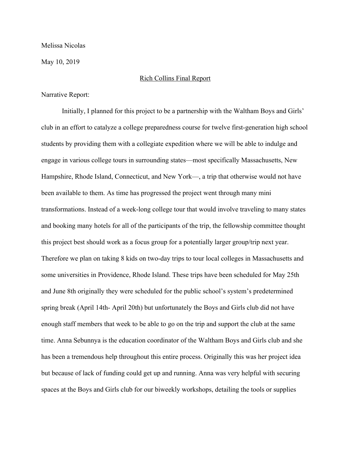Melissa Nicolas

May 10, 2019

### Rich Collins Final Report

Narrative Report:

Initially, I planned for this project to be a partnership with the Waltham Boys and Girls' club in an effort to catalyze a college preparedness course for twelve first-generation high school students by providing them with a collegiate expedition where we will be able to indulge and engage in various college tours in surrounding states—most specifically Massachusetts, New Hampshire, Rhode Island, Connecticut, and New York—, a trip that otherwise would not have been available to them. As time has progressed the project went through many mini transformations. Instead of a week-long college tour that would involve traveling to many states and booking many hotels for all of the participants of the trip, the fellowship committee thought this project best should work as a focus group for a potentially larger group/trip next year. Therefore we plan on taking 8 kids on two-day trips to tour local colleges in Massachusetts and some universities in Providence, Rhode Island. These trips have been scheduled for May 25th and June 8th originally they were scheduled for the public school's system's predetermined spring break (April 14th- April 20th) but unfortunately the Boys and Girls club did not have enough staff members that week to be able to go on the trip and support the club at the same time. Anna Sebunnya is the education coordinator of the Waltham Boys and Girls club and she has been a tremendous help throughout this entire process. Originally this was her project idea but because of lack of funding could get up and running. Anna was very helpful with securing spaces at the Boys and Girls club for our biweekly workshops, detailing the tools or supplies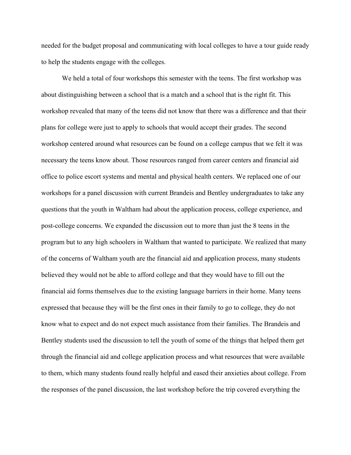needed for the budget proposal and communicating with local colleges to have a tour guide ready to help the students engage with the colleges.

We held a total of four workshops this semester with the teens. The first workshop was about distinguishing between a school that is a match and a school that is the right fit. This workshop revealed that many of the teens did not know that there was a difference and that their plans for college were just to apply to schools that would accept their grades. The second workshop centered around what resources can be found on a college campus that we felt it was necessary the teens know about. Those resources ranged from career centers and financial aid office to police escort systems and mental and physical health centers. We replaced one of our workshops for a panel discussion with current Brandeis and Bentley undergraduates to take any questions that the youth in Waltham had about the application process, college experience, and post-college concerns. We expanded the discussion out to more than just the 8 teens in the program but to any high schoolers in Waltham that wanted to participate. We realized that many of the concerns of Waltham youth are the financial aid and application process, many students believed they would not be able to afford college and that they would have to fill out the financial aid forms themselves due to the existing language barriers in their home. Many teens expressed that because they will be the first ones in their family to go to college, they do not know what to expect and do not expect much assistance from their families. The Brandeis and Bentley students used the discussion to tell the youth of some of the things that helped them get through the financial aid and college application process and what resources that were available to them, which many students found really helpful and eased their anxieties about college. From the responses of the panel discussion, the last workshop before the trip covered everything the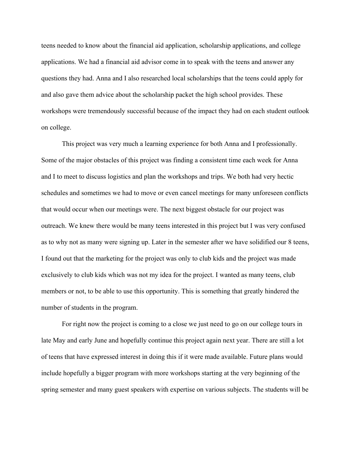teens needed to know about the financial aid application, scholarship applications, and college applications. We had a financial aid advisor come in to speak with the teens and answer any questions they had. Anna and I also researched local scholarships that the teens could apply for and also gave them advice about the scholarship packet the high school provides. These workshops were tremendously successful because of the impact they had on each student outlook on college.

This project was very much a learning experience for both Anna and I professionally. Some of the major obstacles of this project was finding a consistent time each week for Anna and I to meet to discuss logistics and plan the workshops and trips. We both had very hectic schedules and sometimes we had to move or even cancel meetings for many unforeseen conflicts that would occur when our meetings were. The next biggest obstacle for our project was outreach. We knew there would be many teens interested in this project but I was very confused as to why not as many were signing up. Later in the semester after we have solidified our 8 teens, I found out that the marketing for the project was only to club kids and the project was made exclusively to club kids which was not my idea for the project. I wanted as many teens, club members or not, to be able to use this opportunity. This is something that greatly hindered the number of students in the program.

For right now the project is coming to a close we just need to go on our college tours in late May and early June and hopefully continue this project again next year. There are still a lot of teens that have expressed interest in doing this if it were made available. Future plans would include hopefully a bigger program with more workshops starting at the very beginning of the spring semester and many guest speakers with expertise on various subjects. The students will be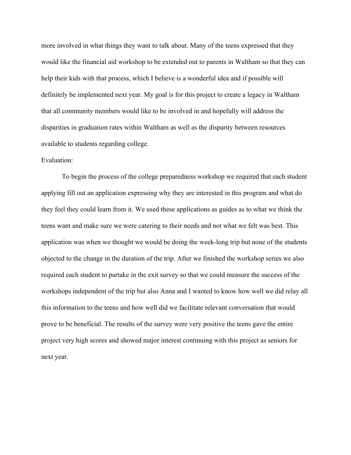more involved in what things they want to talk about. Many of the teens expressed that they would like the financial aid workshop to be extended out to parents in Waltham so that they can help their kids with that process, which I believe is a wonderful idea and if possible will definitely be implemented next year. My goal is for this project to create a legacy in Waltham that all community members would like to be involved in and hopefully will address the disparities in graduation rates within Waltham as well as the disparity between resources available to students regarding college.

### Evaluation:

To begin the process of the college preparedness workshop we required that each student applying fill out an application expressing why they are interested in this program and what do they feel they could learn from it. We used these applications as guides as to what we think the teens want and make sure we were catering to their needs and not what we felt was best. This application was when we thought we would be doing the week-long trip but none of the students objected to the change in the duration of the trip. After we finished the workshop series we also required each student to partake in the exit survey so that we could measure the success of the workshops independent of the trip but also Anna and I wanted to know how well we did relay all this information to the teens and how well did we facilitate relevant conversation that would prove to be beneficial. The results of the survey were very positive the teens gave the entire project very high scores and showed major interest continuing with this project as seniors for next year.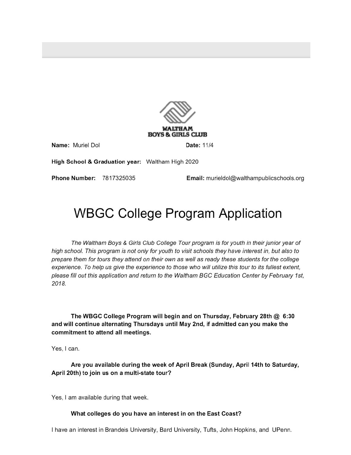

Name: Muriel Dol

Date: 11/4

High School & Graduation year: Waltham High 2020

Phone Number: 7817325035

Email: murieldol@walthampublicschools.org

# **WBGC College Program Application**

The Waltham Boys & Girls Club College Tour program is for youth in their junior year of high school. This program is not only for youth to visit schools they have interest in, but also to prepare them for tours they attend on their own as well as ready these students for the college experience. To help us give the experience to those who will utilize this tour to its fullest extent, please fill out this application and return to the Waltham BGC Education Center by February 1st, 2018.

The WBGC College Program will begin and on Thursday, February 28th @ 6:30 and will continue alternating Thursdays until May 2nd, if admitted can you make the commitment to attend all meetings.

Yes, I can.

Are you available during the week of April Break (Sunday, April 14th to Saturday, April 20th) to join us on a multi-state tour?

Yes, I am available during that week.

## What colleges do you have an interest in on the East Coast?

I have an interest in Brandeis University, Bard University, Tufts, John Hopkins, and UPenn.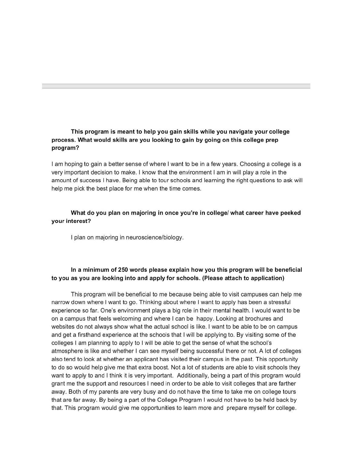# This program is meant to help you gain skills while you navigate your college process. What would skills are you looking to gain by going on this college prep program?

I am hoping to gain a better sense of where I want to be in a few years. Choosing a college is a very important decision to make. I know that the environment I am in will play a role in the amount of success I have. Being able to tour schools and learning the right questions to ask will help me pick the best place for me when the time comes.

# What do you plan on majoring in once you're in college/ what career have peeked your interest?

I plan on majoring in neuroscience/biology.

# In a minimum of 250 words please explain how you this program will be beneficial to you as you are looking into and apply for schools. (Please attach to application)

This program will be beneficial to me because being able to visit campuses can help me narrow down where I want to go. Thinking about where I want to apply has been a stressful experience so far. One's environment plays a big role in their mental health. I would want to be on a campus that feels welcoming and where I can be happy. Looking at brochures and websites do not always show what the actual school is like. I want to be able to be on campus and get a firsthand experience at the schools that I will be applying to. By visiting some of the colleges I am planning to apply to I will be able to get the sense of what the school's atmosphere is like and whether I can see myself being successful there or not. A lot of colleges also tend to look at whether an applicant has visited their campus in the past. This opportunity to do so would help give me that extra boost. Not a lot of students are able to visit schools they want to apply to and I think it is very important. Additionally, being a part of this program would grant me the support and resources I need in order to be able to visit colleges that are farther away. Both of my parents are very busy and do not have the time to take me on college tours that are far away. By being a part of the College Program I would not have to be held back by that. This program would give me opportunities to learn more and prepare myself for college.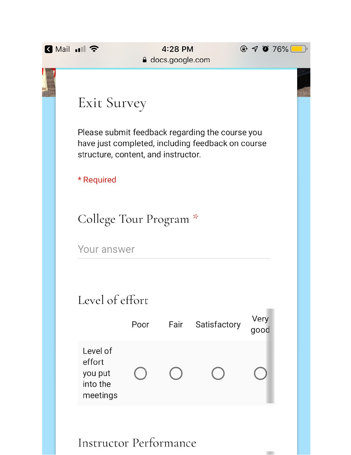| <b>R</b> Mail 11 ? |                                                       |      | 4:28 PM<br><b>△</b> docs.google.com |                                                                                                      | $@ 9076\%$   |  |
|--------------------|-------------------------------------------------------|------|-------------------------------------|------------------------------------------------------------------------------------------------------|--------------|--|
|                    |                                                       |      |                                     |                                                                                                      |              |  |
|                    | Exit Survey                                           |      |                                     |                                                                                                      |              |  |
|                    | structure, content, and instructor.                   |      |                                     | Please submit feedback regarding the course you<br>have just completed, including feedback on course |              |  |
|                    | * Required                                            |      |                                     |                                                                                                      |              |  |
|                    | College Tour Program *                                |      |                                     |                                                                                                      |              |  |
|                    | Your answer                                           |      |                                     |                                                                                                      |              |  |
|                    | Level of effort                                       |      |                                     |                                                                                                      |              |  |
|                    |                                                       | Poor | Fair                                | Satisfactory                                                                                         | Very<br>good |  |
|                    | Level of<br>effort<br>you put<br>into the<br>meetings |      |                                     |                                                                                                      |              |  |
|                    | Instructor Performance                                |      |                                     |                                                                                                      |              |  |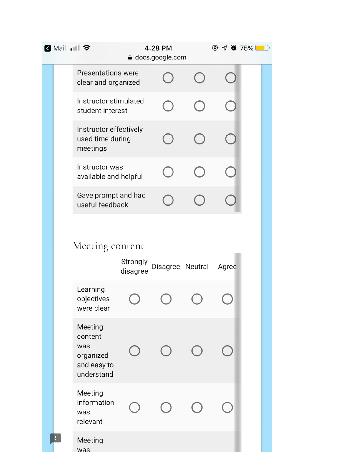| <b>B</b> Mail 川今                                                    |                      | 4:28 PM<br>a docs.google.com | $\odot$ 4 0 75% |  |
|---------------------------------------------------------------------|----------------------|------------------------------|-----------------|--|
| <b>Presentations were</b><br>clear and organized                    |                      |                              |                 |  |
| Instructor stimulated<br>student interest                           |                      |                              |                 |  |
| Instructor effectively<br>used time during<br>meetings              |                      |                              |                 |  |
| Instructor was<br>available and helpful                             |                      |                              |                 |  |
| Gave prompt and had<br>useful feedback                              |                      |                              |                 |  |
| Meeting content<br>Learning                                         | Strongly<br>disagree | Disagree Neutral             | Agree           |  |
| objectives<br>were clear                                            |                      |                              |                 |  |
| Meeting<br>content<br>was<br>organized<br>and easy to<br>understand |                      |                              |                 |  |
| Meeting<br>information<br>was<br>relevant                           |                      |                              |                 |  |
| Meeting<br>was                                                      |                      |                              |                 |  |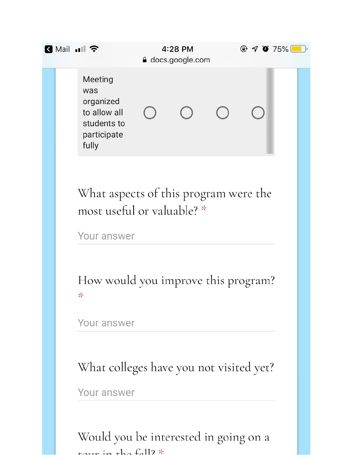| K Mail  II <del>수</del> |                                                                                    | 4:28 PM<br><b>△</b> docs.google.com |  |  | $@ 7075\$ |  |  |
|-------------------------|------------------------------------------------------------------------------------|-------------------------------------|--|--|-----------|--|--|
|                         | Meeting<br>was<br>organized<br>to allow all<br>students to<br>participate<br>fully |                                     |  |  |           |  |  |

What aspects of this program were the most useful or valuable? \*

Your answer

How would you improve this program? 누

Your answer

What colleges have you not visited yet?

Your answer

Would you be interested in going on a tour in the fall?  $*$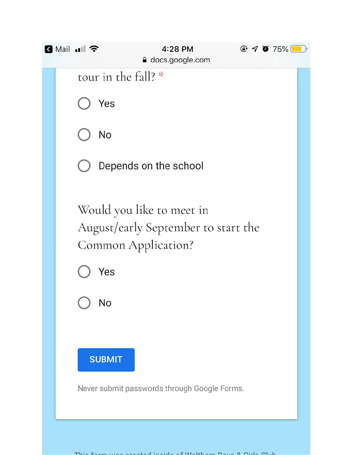

This form was greated inside of Weltham Boys & Cirls Club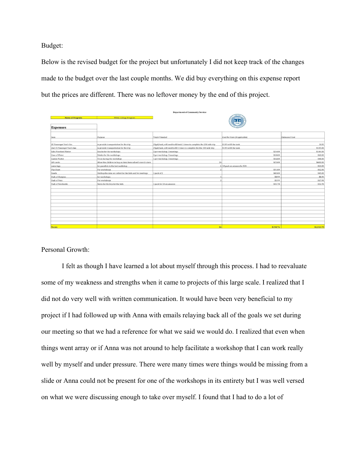Budget:

Below is the revised budget for the project but unfortunately I did not keep track of the changes made to the budget over the last couple months. We did buy everything on this expense report but the prices are different. There was no leftover money by the end of this project.

| <b>Name of Program:</b>    | <b>WBGC College Program</b>                                 |                                                                          |                               |                       |  |  |
|----------------------------|-------------------------------------------------------------|--------------------------------------------------------------------------|-------------------------------|-----------------------|--|--|
| <b>Expenses</b>            |                                                             | $rac{8}{2000}$                                                           |                               |                       |  |  |
| Item                       | Purpose                                                     | Total # Needed                                                           | Cost Per Item (if applicable) | <b>Estimated Cost</b> |  |  |
| 15 Passenger Van's Gas     | to provide transportation for the trip                      | 25gal/tank, will need to fill tank 1 times to complete the 250 mile trip | \$135 to fill the tank        | \$135                 |  |  |
| 2nd 15 Passenger Van's Gas | to provide transportation for the trip                      | 25gal/tank, will need to fill 1 times to complete the the 250 mile trip  | \$135 to fill the tank        | \$135.00              |  |  |
| Subs Pinwheel Platter      | Snacks for the workshops                                    | 2 per workshop. 3 meetings                                               | \$24.00                       | \$144.00              |  |  |
| Case of Water              | Drinks for the workshops                                    | 2 per workshop. 3 meetings                                               | \$10.00                       | \$60.00               |  |  |
| Cookie Platter             | Treat during the workshop                                   | 1 per workshop. 3 meetings                                               | \$16.00                       | \$48.00               |  |  |
| Gift cards                 | Allow the children to buy an item from school's merch store |                                                                          | 24<br>\$25.00                 | \$600.00              |  |  |
| name tags                  | for panalists in the last workshop                          |                                                                          | 6 10 pack on amazon for \$24  | \$24.00               |  |  |
| Flip Chart                 | For workshops                                               |                                                                          | \$31.00                       | \$62.00               |  |  |
| Easels                     | Hold up the data we collect for the kids and for meetings   | 1 pack of 2                                                              | \$45.00                       | \$45.00               |  |  |
| Pack of Sharpies           | for workshops                                               |                                                                          | \$8.99                        | \$8.99                |  |  |
| Pack of Pens               | For workshops                                               |                                                                          | \$5.99                        | \$17.98               |  |  |
| Pack of Notebooks          | Notes for the trip for the kids                             | 1 pack for 24 on amazon                                                  | \$32.78                       | \$32.78               |  |  |
|                            |                                                             |                                                                          |                               |                       |  |  |
|                            |                                                             |                                                                          |                               |                       |  |  |
|                            |                                                             |                                                                          |                               |                       |  |  |
|                            |                                                             |                                                                          |                               |                       |  |  |
|                            |                                                             |                                                                          |                               |                       |  |  |
|                            |                                                             |                                                                          |                               |                       |  |  |
|                            |                                                             |                                                                          |                               |                       |  |  |
|                            |                                                             |                                                                          |                               |                       |  |  |
| <b>Totals</b>              |                                                             |                                                                          | 36<br>\$198.76                | \$1,312.75            |  |  |

artment of Community Service

Personal Growth:

I felt as though I have learned a lot about myself through this process. I had to reevaluate some of my weakness and strengths when it came to projects of this large scale. I realized that I did not do very well with written communication. It would have been very beneficial to my project if I had followed up with Anna with emails relaying back all of the goals we set during our meeting so that we had a reference for what we said we would do. I realized that even when things went array or if Anna was not around to help facilitate a workshop that I can work really well by myself and under pressure. There were many times were things would be missing from a slide or Anna could not be present for one of the workshops in its entirety but I was well versed on what we were discussing enough to take over myself. I found that I had to do a lot of